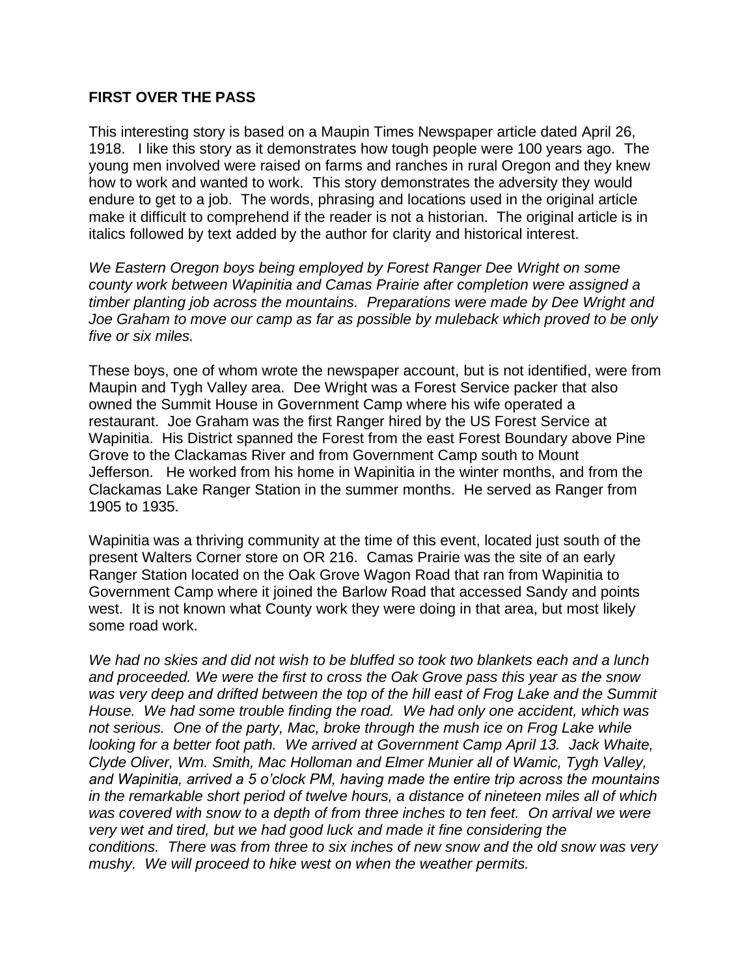## **FIRST OVER THE PASS**

This interesting story is based on a Maupin Times Newspaper article dated April 26, 1918. I like this story as it demonstrates how tough people were 100 years ago. The young men involved were raised on farms and ranches in rural Oregon and they knew how to work and wanted to work. This story demonstrates the adversity they would endure to get to a job. The words, phrasing and locations used in the original article make it difficult to comprehend if the reader is not a historian. The original article is in italics followed by text added by the author for clarity and historical interest.

*We Eastern Oregon boys being employed by Forest Ranger Dee Wright on some county work between Wapinitia and Camas Prairie after completion were assigned a timber planting job across the mountains. Preparations were made by Dee Wright and Joe Graham to move our camp as far as possible by muleback which proved to be only five or six miles.*

These boys, one of whom wrote the newspaper account, but is not identified, were from Maupin and Tygh Valley area. Dee Wright was a Forest Service packer that also owned the Summit House in Government Camp where his wife operated a restaurant. Joe Graham was the first Ranger hired by the US Forest Service at Wapinitia. His District spanned the Forest from the east Forest Boundary above Pine Grove to the Clackamas River and from Government Camp south to Mount Jefferson. He worked from his home in Wapinitia in the winter months, and from the Clackamas Lake Ranger Station in the summer months. He served as Ranger from 1905 to 1935.

Wapinitia was a thriving community at the time of this event, located just south of the present Walters Corner store on OR 216. Camas Prairie was the site of an early Ranger Station located on the Oak Grove Wagon Road that ran from Wapinitia to Government Camp where it joined the Barlow Road that accessed Sandy and points west. It is not known what County work they were doing in that area, but most likely some road work.

*We had no skies and did not wish to be bluffed so took two blankets each and a lunch and proceeded. We were the first to cross the Oak Grove pass this year as the snow was very deep and drifted between the top of the hill east of Frog Lake and the Summit House. We had some trouble finding the road. We had only one accident, which was not serious. One of the party, Mac, broke through the mush ice on Frog Lake while looking for a better foot path. We arrived at Government Camp April 13. Jack Whaite, Clyde Oliver, Wm. Smith, Mac Holloman and Elmer Munier all of Wamic, Tygh Valley, and Wapinitia, arrived a 5 o'clock PM, having made the entire trip across the mountains in the remarkable short period of twelve hours, a distance of nineteen miles all of which was covered with snow to a depth of from three inches to ten feet. On arrival we were very wet and tired, but we had good luck and made it fine considering the conditions. There was from three to six inches of new snow and the old snow was very mushy. We will proceed to hike west on when the weather permits.*